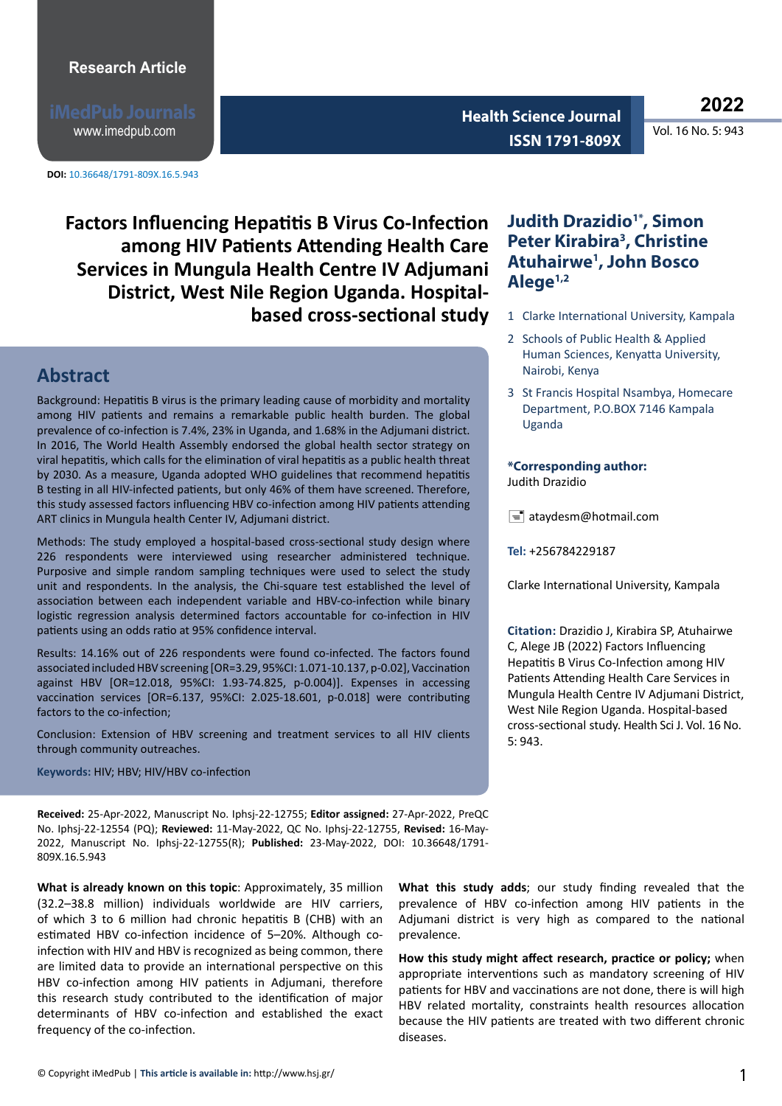www.imedpub.com

**DOI:** 10.36648/1791-809X.16.5.943

**<sup>2022</sup> Health Science Journal ISSN 1791-809X** 

**Factors Influencing Hepatitis B Virus Co-Infection among HIV Patients Attending Health Care Services in Mungula Health Centre IV Adjumani District, West Nile Region Uganda. Hospitalbased cross-sectional study**

### **Abstract**

Background: Hepatitis B virus is the primary leading cause of morbidity and mortality among HIV patients and remains a remarkable public health burden. The global prevalence of co-infection is 7.4%, 23% in Uganda, and 1.68% in the Adjumani district. In 2016, The World Health Assembly endorsed the global health sector strategy on viral hepatitis, which calls for the elimination of viral hepatitis as a public health threat by 2030. As a measure, Uganda adopted WHO guidelines that recommend hepatitis B testing in all HIV-infected patients, but only 46% of them have screened. Therefore, this study assessed factors influencing HBV co-infection among HIV patients attending ART clinics in Mungula health Center IV, Adjumani district.

Methods: The study employed a hospital-based cross-sectional study design where 226 respondents were interviewed using researcher administered technique. Purposive and simple random sampling techniques were used to select the study unit and respondents. In the analysis, the Chi-square test established the level of association between each independent variable and HBV-co-infection while binary logistic regression analysis determined factors accountable for co-infection in HIV patients using an odds ratio at 95% confidence interval.

Results: 14.16% out of 226 respondents were found co-infected. The factors found associated included HBV screening [OR=3.29, 95%CI: 1.071-10.137, p-0.02], Vaccination against HBV [OR=12.018, 95%CI: 1.93-74.825, p-0.004)]. Expenses in accessing vaccination services [OR=6.137, 95%CI: 2.025-18.601, p-0.018] were contributing factors to the co-infection;

Conclusion: Extension of HBV screening and treatment services to all HIV clients through community outreaches.

**Keywords:** HIV; HBV; HIV/HBV co-infection

**Received:** 25-Apr-2022, Manuscript No. Iphsj-22-12755; **Editor assigned:** 27-Apr-2022, PreQC No. Iphsj-22-12554 (PQ); **Reviewed:** 11-May-2022, QC No. Iphsj-22-12755, **Revised:** 16-May-2022, Manuscript No. Iphsj-22-12755(R); **Published:** 23-May-2022, DOI: 10.36648/1791- 809X.16.5.943

**What is already known on this topic**: Approximately, 35 million (32.2–38.8 million) individuals worldwide are HIV carriers, of which 3 to 6 million had chronic hepatitis B (CHB) with an estimated HBV co-infection incidence of 5–20%. Although coinfection with HIV and HBV is recognized as being common, there are limited data to provide an international perspective on this HBV co-infection among HIV patients in Adjumani, therefore this research study contributed to the identification of major determinants of HBV co-infection and established the exact frequency of the co-infection.

### **Judith Drazidio1\*, Simon Peter Kirabira3 , Christine Atuhairwe1 , John Bosco Alege1,2**

- 1 Clarke International University, Kampala
- 2 Schools of Public Health & Applied Human Sciences, Kenyatta University, Nairobi, Kenya
- 3 St Francis Hospital Nsambya, Homecare Department, P.O.BOX 7146 Kampala Uganda

#### **\*Corresponding author:**  Judith Drazidio

 $\equiv$  ataydesm@hotmail.com

**Tel:** +256784229187

Clarke International University, Kampala

**Citation:** Drazidio J, Kirabira SP, Atuhairwe C, Alege JB (2022) Factors Influencing Hepatitis B Virus Co-Infection among HIV Patients Attending Health Care Services in Mungula Health Centre IV Adjumani District, West Nile Region Uganda. Hospital-based cross-sectional study. Health Sci J. Vol. 16 No. 5: 943.

**What this study adds**; our study finding revealed that the prevalence of HBV co-infection among HIV patients in the Adjumani district is very high as compared to the national prevalence.

**How this study might affect research, practice or policy;** when appropriate interventions such as mandatory screening of HIV patients for HBV and vaccinations are not done, there is will high HBV related mortality, constraints health resources allocation because the HIV patients are treated with two different chronic diseases.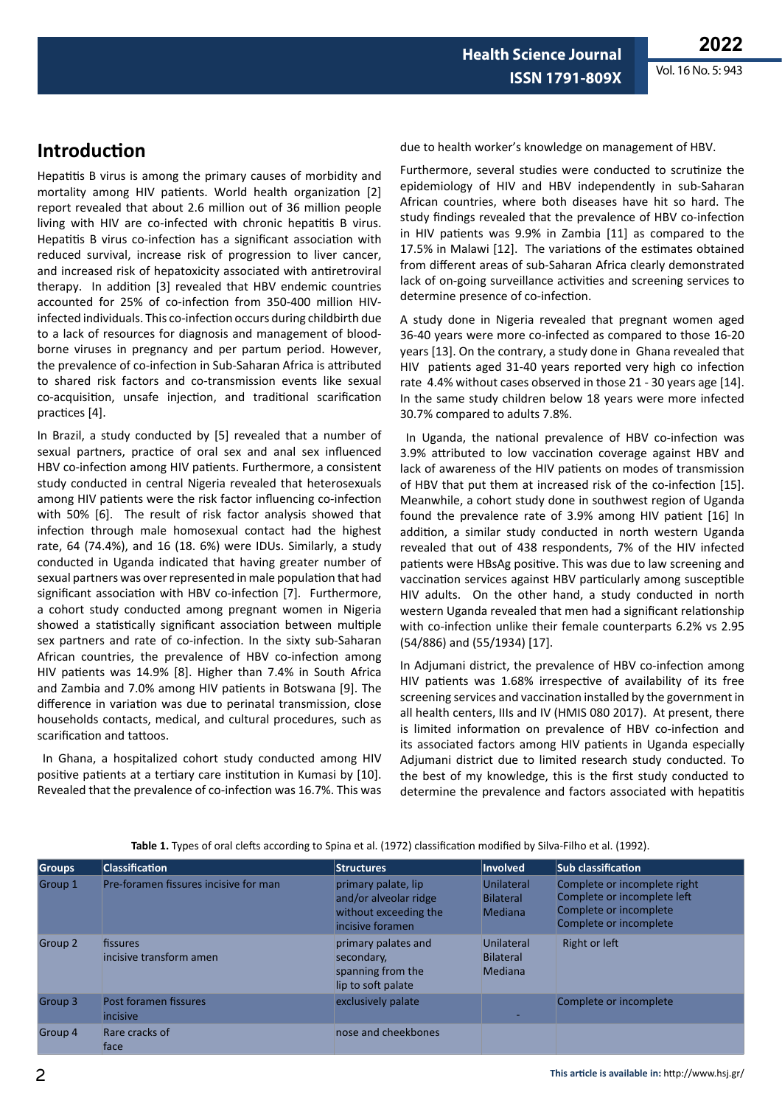**Health Science Journal ISSN 1791-809X**

# **Introduction**

Hepatitis B virus is among the primary causes of morbidity and mortality among HIV patients. World health organization [2] report revealed that about 2.6 million out of 36 million people living with HIV are co-infected with chronic hepatitis B virus. Hepatitis B virus co-infection has a significant association with reduced survival, increase risk of progression to liver cancer, and increased risk of hepatoxicity associated with antiretroviral therapy. In addition [3] revealed that HBV endemic countries accounted for 25% of co-infection from 350-400 million HIVinfected individuals. This co-infection occurs during childbirth due to a lack of resources for diagnosis and management of bloodborne viruses in pregnancy and per partum period. However, the prevalence of co-infection in Sub-Saharan Africa is attributed to shared risk factors and co-transmission events like sexual co-acquisition, unsafe injection, and traditional scarification practices [4].

In Brazil, a study conducted by [5] revealed that a number of sexual partners, practice of oral sex and anal sex influenced HBV co-infection among HIV patients. Furthermore, a consistent study conducted in central Nigeria revealed that heterosexuals among HIV patients were the risk factor influencing co-infection with 50% [6]. The result of risk factor analysis showed that infection through male homosexual contact had the highest rate, 64 (74.4%), and 16 (18. 6%) were IDUs. Similarly, a study conducted in Uganda indicated that having greater number of sexual partners was over represented in male population that had significant association with HBV co-infection [7]. Furthermore, a cohort study conducted among pregnant women in Nigeria showed a statistically significant association between multiple sex partners and rate of co-infection. In the sixty sub-Saharan African countries, the prevalence of HBV co-infection among HIV patients was 14.9% [8]. Higher than 7.4% in South Africa and Zambia and 7.0% among HIV patients in Botswana [9]. The difference in variation was due to perinatal transmission, close households contacts, medical, and cultural procedures, such as scarification and tattoos.

 In Ghana, a hospitalized cohort study conducted among HIV positive patients at a tertiary care institution in Kumasi by [10]. Revealed that the prevalence of co-infection was 16.7%. This was due to health worker's knowledge on management of HBV.

Furthermore, several studies were conducted to scrutinize the epidemiology of HIV and HBV independently in sub-Saharan African countries, where both diseases have hit so hard. The study findings revealed that the prevalence of HBV co-infection in HIV patients was 9.9% in Zambia [11] as compared to the 17.5% in Malawi [12]. The variations of the estimates obtained from different areas of sub-Saharan Africa clearly demonstrated lack of on-going surveillance activities and screening services to determine presence of co-infection.

A study done in Nigeria revealed that pregnant women aged 36-40 years were more co-infected as compared to those 16-20 years [13]. On the contrary, a study done in Ghana revealed that HIV patients aged 31-40 years reported very high co infection rate 4.4% without cases observed in those 21 - 30 years age [14]. In the same study children below 18 years were more infected 30.7% compared to adults 7.8%.

 In Uganda, the national prevalence of HBV co-infection was 3.9% attributed to low vaccination coverage against HBV and lack of awareness of the HIV patients on modes of transmission of HBV that put them at increased risk of the co-infection [15]. Meanwhile, a cohort study done in southwest region of Uganda found the prevalence rate of 3.9% among HIV patient [16] In addition, a similar study conducted in north western Uganda revealed that out of 438 respondents, 7% of the HIV infected patients were HBsAg positive. This was due to law screening and vaccination services against HBV particularly among susceptible HIV adults. On the other hand, a study conducted in north western Uganda revealed that men had a significant relationship with co-infection unlike their female counterparts 6.2% vs 2.95 (54/886) and (55/1934) [17].

In Adjumani district, the prevalence of HBV co-infection among HIV patients was 1.68% irrespective of availability of its free screening services and vaccination installed by the government in all health centers, IIIs and IV (HMIS 080 2017). At present, there is limited information on prevalence of HBV co-infection and its associated factors among HIV patients in Uganda especially Adjumani district due to limited research study conducted. To the best of my knowledge, this is the first study conducted to determine the prevalence and factors associated with hepatitis

| Groups  | <b>Classification</b>                 | <b>Structures</b>                                                                         | <b>Involved</b>                                  | Sub classification                                                                                              |
|---------|---------------------------------------|-------------------------------------------------------------------------------------------|--------------------------------------------------|-----------------------------------------------------------------------------------------------------------------|
| Group 1 | Pre-foramen fissures incisive for man | primary palate, lip<br>and/or alveolar ridge<br>without exceeding the<br>incisive foramen | Unilateral<br><b>Bilateral</b><br><b>Mediana</b> | Complete or incomplete right<br>Complete or incomplete left<br>Complete or incomplete<br>Complete or incomplete |
| Group 2 | fissures<br>incisive transform amen   | primary palates and<br>secondary,<br>spanning from the<br>lip to soft palate              | Unilateral<br><b>Bilateral</b><br><b>Mediana</b> | Right or left                                                                                                   |
| Group 3 | Post foramen fissures<br>incisive     | exclusively palate                                                                        |                                                  | Complete or incomplete                                                                                          |
| Group 4 | Rare cracks of<br>face                | nose and cheekbones                                                                       |                                                  |                                                                                                                 |

**Table 1.** Types of oral clefts according to Spina et al. (1972) classification modified by Silva-Filho et al. (1992).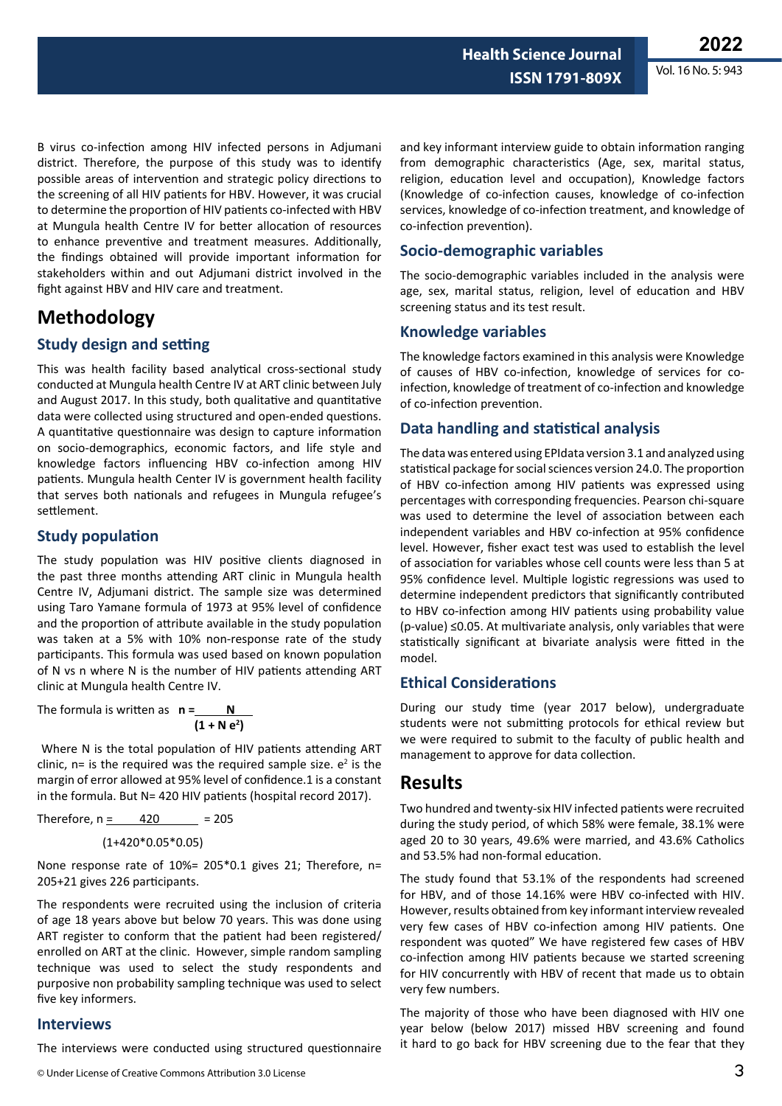B virus co-infection among HIV infected persons in Adjumani district. Therefore, the purpose of this study was to identify possible areas of intervention and strategic policy directions to the screening of all HIV patients for HBV. However, it was crucial to determine the proportion of HIV patients co-infected with HBV at Mungula health Centre IV for better allocation of resources to enhance preventive and treatment measures. Additionally, the findings obtained will provide important information for stakeholders within and out Adjumani district involved in the fight against HBV and HIV care and treatment.

## **Methodology**

#### **Study design and setting**

This was health facility based analytical cross-sectional study conducted at Mungula health Centre IV at ART clinic between July and August 2017. In this study, both qualitative and quantitative data were collected using structured and open-ended questions. A quantitative questionnaire was design to capture information on socio-demographics, economic factors, and life style and knowledge factors influencing HBV co-infection among HIV patients. Mungula health Center IV is government health facility that serves both nationals and refugees in Mungula refugee's settlement.

#### **Study population**

The study population was HIV positive clients diagnosed in the past three months attending ART clinic in Mungula health Centre IV, Adjumani district. The sample size was determined using Taro Yamane formula of 1973 at 95% level of confidence and the proportion of attribute available in the study population was taken at a 5% with 10% non-response rate of the study participants. This formula was used based on known population of N vs n where N is the number of HIV patients attending ART clinic at Mungula health Centre IV.

The formula is written as **n = N**   $(1 + N e^2)$ 

 Where N is the total population of HIV patients attending ART clinic,  $n=$  is the required was the required sample size.  $e^2$  is the margin of error allowed at 95% level of confidence.1 is a constant in the formula. But N= 420 HIV patients (hospital record 2017).

Therefore, 
$$
n = 420 = 205
$$

$$
(1+420^*0.05^*0.05)
$$

None response rate of 10%= 205\*0.1 gives 21; Therefore, n= 205+21 gives 226 participants.

The respondents were recruited using the inclusion of criteria of age 18 years above but below 70 years. This was done using ART register to conform that the patient had been registered/ enrolled on ART at the clinic. However, simple random sampling technique was used to select the study respondents and purposive non probability sampling technique was used to select five key informers.

#### **Interviews**

The interviews were conducted using structured questionnaire

© Under License of Creative Commons Attribution 3.0 License

and key informant interview guide to obtain information ranging from demographic characteristics (Age, sex, marital status, religion, education level and occupation), Knowledge factors (Knowledge of co-infection causes, knowledge of co-infection services, knowledge of co-infection treatment, and knowledge of co-infection prevention).

**Health Science Journal**

**ISSN 1791-809X**

#### **Socio-demographic variables**

The socio-demographic variables included in the analysis were age, sex, marital status, religion, level of education and HBV screening status and its test result.

#### **Knowledge variables**

The knowledge factors examined in this analysis were Knowledge of causes of HBV co-infection, knowledge of services for coinfection, knowledge of treatment of co-infection and knowledge of co-infection prevention.

#### **Data handling and statistical analysis**

The data was entered using EPIdata version 3.1 and analyzed using statistical package for social sciences version 24.0. The proportion of HBV co-infection among HIV patients was expressed using percentages with corresponding frequencies. Pearson chi-square was used to determine the level of association between each independent variables and HBV co-infection at 95% confidence level. However, fisher exact test was used to establish the level of association for variables whose cell counts were less than 5 at 95% confidence level. Multiple logistic regressions was used to determine independent predictors that significantly contributed to HBV co-infection among HIV patients using probability value (p-value) ≤0.05. At multivariate analysis, only variables that were statistically significant at bivariate analysis were fitted in the model.

#### **Ethical Considerations**

During our study time (year 2017 below), undergraduate students were not submitting protocols for ethical review but we were required to submit to the faculty of public health and management to approve for data collection.

### **Results**

Two hundred and twenty-six HIV infected patients were recruited during the study period, of which 58% were female, 38.1% were aged 20 to 30 years, 49.6% were married, and 43.6% Catholics and 53.5% had non-formal education.

The study found that 53.1% of the respondents had screened for HBV, and of those 14.16% were HBV co-infected with HIV. However, results obtained from key informant interview revealed very few cases of HBV co-infection among HIV patients. One respondent was quoted" We have registered few cases of HBV co-infection among HIV patients because we started screening for HIV concurrently with HBV of recent that made us to obtain very few numbers.

The majority of those who have been diagnosed with HIV one year below (below 2017) missed HBV screening and found it hard to go back for HBV screening due to the fear that they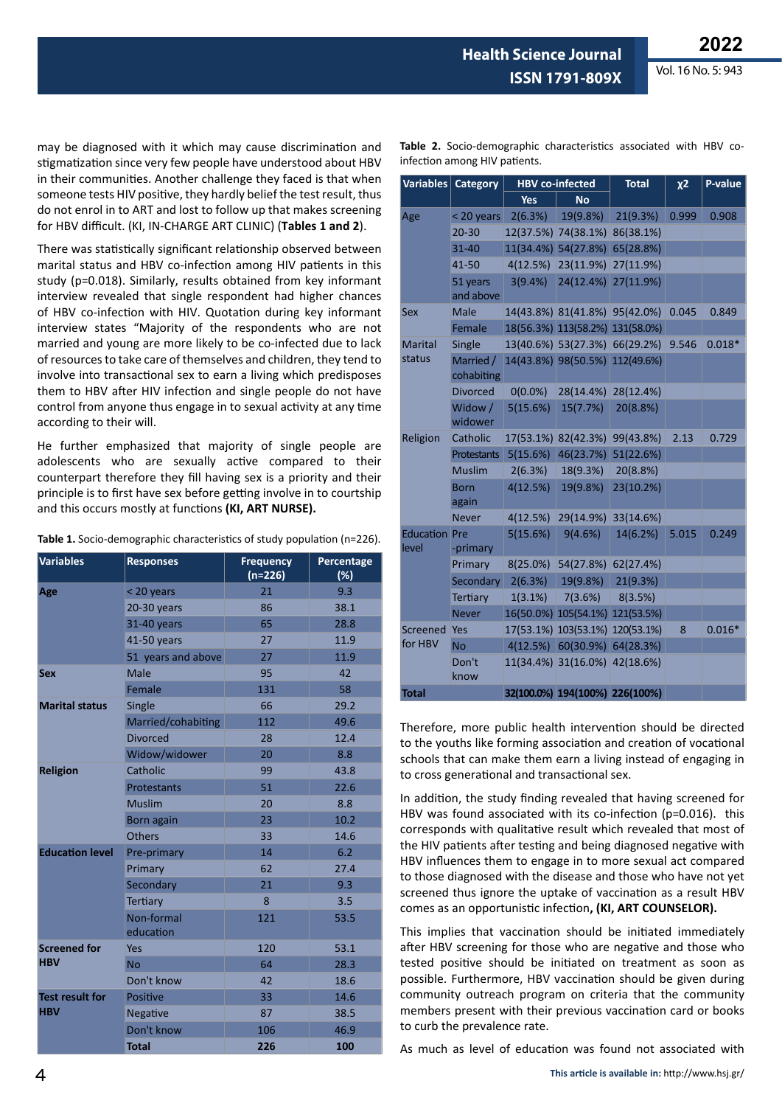**Health Science Journal**

Vol. 16 No. 5: 943

may be diagnosed with it which may cause discrimination and stigmatization since very few people have understood about HBV in their communities. Another challenge they faced is that when someone tests HIV positive, they hardly belief the test result, thus do not enrol in to ART and lost to follow up that makes screening for HBV difficult. (KI, IN-CHARGE ART CLINIC) (**Tables 1 and 2**).

There was statistically significant relationship observed between marital status and HBV co-infection among HIV patients in this study (p=0.018). Similarly, results obtained from key informant interview revealed that single respondent had higher chances of HBV co-infection with HIV. Quotation during key informant interview states "Majority of the respondents who are not married and young are more likely to be co-infected due to lack of resources to take care of themselves and children, they tend to involve into transactional sex to earn a living which predisposes them to HBV after HIV infection and single people do not have control from anyone thus engage in to sexual activity at any time according to their will.

He further emphasized that majority of single people are adolescents who are sexually active compared to their counterpart therefore they fill having sex is a priority and their principle is to first have sex before getting involve in to courtship and this occurs mostly at functions **(KI, ART NURSE).**

| <b>Variables</b>       | <b>Responses</b>        | <b>Frequency</b><br>$(n=226)$ | Percentage<br>(%) |
|------------------------|-------------------------|-------------------------------|-------------------|
| Age                    | < 20 years              | 21                            | 9.3               |
|                        | 20-30 years             | 86                            | 38.1              |
|                        | 31-40 years             | 65                            | 28.8              |
|                        | 41-50 years             | 27                            | 11.9              |
|                        | 51 years and above      | 27                            | 11.9              |
| <b>Sex</b>             | Male                    | 95                            | 42                |
|                        | Female                  | 131                           | 58                |
| <b>Marital status</b>  | Single                  | 66                            | 29.2              |
|                        | Married/cohabiting      | 112                           | 49.6              |
|                        | Divorced                | 28                            | 12.4              |
|                        | Widow/widower           | 20                            | 8.8               |
| <b>Religion</b>        | Catholic                | 99                            | 43.8              |
|                        | <b>Protestants</b>      | 51                            | 22.6              |
|                        | <b>Muslim</b>           | 20                            | 8.8               |
|                        | <b>Born</b> again       | 23                            | 10.2              |
|                        | <b>Others</b>           | 33                            | 14.6              |
| <b>Education level</b> | Pre-primary             | 14                            | 6.2               |
|                        | Primary                 | 62                            | 27.4              |
|                        | Secondary               | 21                            | 9.3               |
|                        | Tertiary                | 8                             | 3.5               |
|                        | Non-formal<br>education | 121                           | 53.5              |
| <b>Screened for</b>    | Yes                     | 120                           | 53.1              |
| <b>HBV</b>             | <b>Νο</b>               | 64                            | 28.3              |
|                        | Don't know              | 42                            | 18.6              |
| <b>Test result for</b> | Positive                | 33                            | 14.6              |
| <b>HBV</b>             | <b>Negative</b>         | 87                            | 38.5              |
|                        | Don't know              | 106                           | 46.9              |
|                        | <b>Total</b>            | 226                           | 100               |

|  | <b>Table 2.</b> Socio-demographic characteristics associated with HBV co- |  |  |  |
|--|---------------------------------------------------------------------------|--|--|--|
|  | infection among HIV patients.                                             |  |  |  |

| Variables                     | Category                | <b>HBV</b> co-infected |                                | <b>Total</b> | $x^2$ | P-value  |
|-------------------------------|-------------------------|------------------------|--------------------------------|--------------|-------|----------|
|                               |                         | <b>Yes</b>             | <b>No</b>                      |              |       |          |
| Age                           | < 20 years              | 2(6.3%)                | 19(9.8%)                       | 21(9.3%)     | 0.999 | 0.908    |
|                               | $20 - 30$               |                        | 12(37.5%) 74(38.1%)            | 86(38.1%)    |       |          |
|                               | 31-40                   |                        | 11(34.4%) 54(27.8%)            | 65(28.8%)    |       |          |
|                               | 41-50                   | 4(12.5%)               | 23(11.9%)                      | 27(11.9%)    |       |          |
|                               | 51 years<br>and above   | 3(9.4%)                | 24(12.4%)                      | 27(11.9%)    |       |          |
| Sex                           | <b>Male</b>             |                        | 14(43.8%) 81(41.8%) 95(42.0%)  |              | 0.045 | 0.849    |
|                               | Female                  |                        | 18(56.3%) 113(58.2%)           | 131(58.0%)   |       |          |
| <b>Marital</b>                | Single                  |                        | 13(40.6%) 53(27.3%)            | 66(29.2%)    | 9.546 | $0.018*$ |
| status                        | Married /<br>cohabiting |                        | 14(43.8%) 98(50.5%) 112(49.6%) |              |       |          |
|                               | <b>Divorced</b>         | $0(0.0\%)$             | 28(14.4%)                      | 28(12.4%)    |       |          |
|                               | Widow /<br>widower      | 5(15.6%)               | 15(7.7%)                       | 20(8.8%)     |       |          |
| Religion                      | Catholic                |                        | 17(53.1%) 82(42.3%)            | 99(43.8%)    | 2.13  | 0.729    |
|                               | Protestants             | 5(15.6%)               | 46(23.7%)                      | 51(22.6%)    |       |          |
|                               | <b>Muslim</b>           | 2(6.3%)                | 18(9.3%)                       | 20(8.8%)     |       |          |
|                               | <b>Born</b><br>again    | 4(12.5%)               | 19(9.8%)                       | 23(10.2%)    |       |          |
|                               | <b>Never</b>            | 4(12.5%)               | 29(14.9%)                      | 33(14.6%)    |       |          |
| <b>Education Pre</b><br>level | -primary                | 5(15.6%)               | 9(4.6%)                        | 14(6.2%)     | 5.015 | 0.249    |
|                               | Primary                 | 8(25.0%)               | 54(27.8%) 62(27.4%)            |              |       |          |
|                               | Secondary               | 2(6.3%)                | 19(9.8%)                       | 21(9.3%)     |       |          |
|                               | <b>Tertiary</b>         | 1(3.1%)                | 7(3.6%)                        | 8(3.5%)      |       |          |
|                               | <b>Never</b>            |                        | 16(50.0%) 105(54.1%)           | 121(53.5%)   |       |          |
| Screened                      | Yes                     |                        | 17(53.1%) 103(53.1%)           | 120(53.1%)   | 8     | $0.016*$ |
| for HBV                       | <b>No</b>               | 4(12.5%)               | 60(30.9%)                      | 64(28.3%)    |       |          |
|                               | Don't<br>know           |                        | 11(34.4%) 31(16.0%)            | 42(18.6%)    |       |          |
| <b>Total</b>                  |                         |                        | 32(100.0%) 194(100%) 226(100%) |              |       |          |

Therefore, more public health intervention should be directed to the youths like forming association and creation of vocational schools that can make them earn a living instead of engaging in to cross generational and transactional sex.

In addition, the study finding revealed that having screened for HBV was found associated with its co-infection (p=0.016). this corresponds with qualitative result which revealed that most of the HIV patients after testing and being diagnosed negative with HBV influences them to engage in to more sexual act compared to those diagnosed with the disease and those who have not yet screened thus ignore the uptake of vaccination as a result HBV comes as an opportunistic infection**, (KI, ART COUNSELOR).**

This implies that vaccination should be initiated immediately after HBV screening for those who are negative and those who tested positive should be initiated on treatment as soon as possible. Furthermore, HBV vaccination should be given during community outreach program on criteria that the community members present with their previous vaccination card or books to curb the prevalence rate.

As much as level of education was found not associated with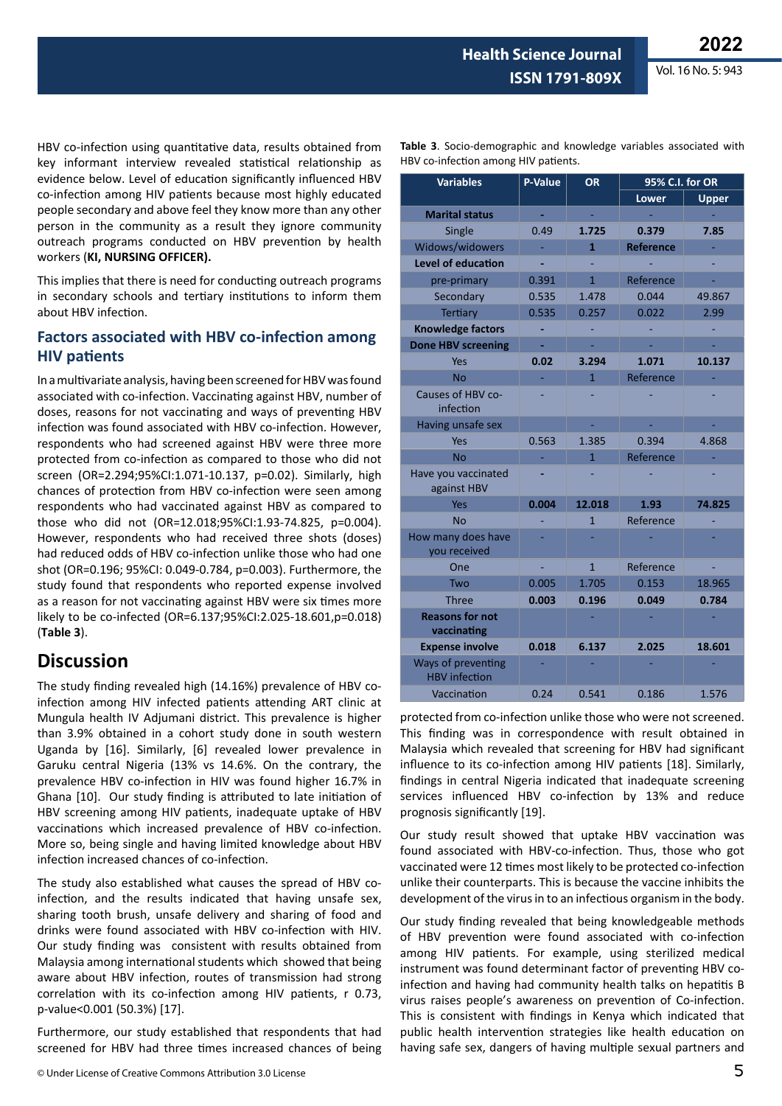**ISSN 1791-809X**

**Table 3**. Socio-demographic and knowledge variables associated with

**Health Science Journal**

HBV co-infection among HIV patients.

HBV co-infection using quantitative data, results obtained from key informant interview revealed statistical relationship as evidence below. Level of education significantly influenced HBV co-infection among HIV patients because most highly educated people secondary and above feel they know more than any other person in the community as a result they ignore community outreach programs conducted on HBV prevention by health workers (**KI, NURSING OFFICER).**

This implies that there is need for conducting outreach programs in secondary schools and tertiary institutions to inform them about HBV infection.

### **Factors associated with HBV co-infection among HIV patients**

In a multivariate analysis, having been screened for HBV was found associated with co-infection. Vaccinating against HBV, number of doses, reasons for not vaccinating and ways of preventing HBV infection was found associated with HBV co-infection. However, respondents who had screened against HBV were three more protected from co-infection as compared to those who did not screen (OR=2.294;95%CI:1.071-10.137, p=0.02). Similarly, high chances of protection from HBV co-infection were seen among respondents who had vaccinated against HBV as compared to those who did not (OR=12.018;95%CI:1.93-74.825, p=0.004). However, respondents who had received three shots (doses) had reduced odds of HBV co-infection unlike those who had one shot (OR=0.196; 95%CI: 0.049-0.784, p=0.003). Furthermore, the study found that respondents who reported expense involved as a reason for not vaccinating against HBV were six times more likely to be co-infected (OR=6.137;95%CI:2.025-18.601,p=0.018) (**Table 3**).

## **Discussion**

The study finding revealed high (14.16%) prevalence of HBV coinfection among HIV infected patients attending ART clinic at Mungula health IV Adjumani district. This prevalence is higher than 3.9% obtained in a cohort study done in south western Uganda by [16]. Similarly, [6] revealed lower prevalence in Garuku central Nigeria (13% vs 14.6%. On the contrary, the prevalence HBV co-infection in HIV was found higher 16.7% in Ghana [10]. Our study finding is attributed to late initiation of HBV screening among HIV patients, inadequate uptake of HBV vaccinations which increased prevalence of HBV co-infection. More so, being single and having limited knowledge about HBV infection increased chances of co-infection.

The study also established what causes the spread of HBV coinfection, and the results indicated that having unsafe sex, sharing tooth brush, unsafe delivery and sharing of food and drinks were found associated with HBV co-infection with HIV. Our study finding was consistent with results obtained from Malaysia among international students which showed that being aware about HBV infection, routes of transmission had strong correlation with its co-infection among HIV patients, r 0.73, p-value<0.001 (50.3%) [17].

Furthermore, our study established that respondents that had screened for HBV had three times increased chances of being

© Under License of Creative Commons Attribution 3.0 License

| <b>Variables</b>                           | <b>P-Value</b> | <b>OR</b>      | 95% C.I. for OR  |              |  |  |
|--------------------------------------------|----------------|----------------|------------------|--------------|--|--|
|                                            |                |                | <b>Lower</b>     | <b>Upper</b> |  |  |
| <b>Marital status</b>                      |                |                |                  |              |  |  |
| Single                                     | 0.49           | 1.725          | 0.379            | 7.85         |  |  |
| Widows/widowers                            |                | 1              | <b>Reference</b> |              |  |  |
| <b>Level of education</b>                  |                |                |                  |              |  |  |
| pre-primary                                | 0.391          | $\mathbf{1}$   | Reference        |              |  |  |
| Secondary                                  | 0.535          | 1.478          | 0.044            | 49.867       |  |  |
| <b>Tertiary</b>                            | 0.535          | 0.257          | 0.022            | 2.99         |  |  |
| <b>Knowledge factors</b>                   |                |                |                  |              |  |  |
| <b>Done HBV screening</b>                  |                |                |                  |              |  |  |
| Yes                                        | 0.02           | 3.294          | 1.071            | 10.137       |  |  |
| <b>No</b>                                  |                | $\overline{1}$ | Reference        |              |  |  |
| Causes of HBV co-<br>infection             |                |                |                  |              |  |  |
| Having unsafe sex                          |                |                |                  |              |  |  |
| Yes                                        | 0.563          | 1.385          | 0.394            | 4.868        |  |  |
| <b>No</b>                                  |                | $\overline{1}$ | Reference        |              |  |  |
| Have you vaccinated<br>against HBV         |                |                |                  |              |  |  |
| Yes                                        | 0.004          | 12.018         | 1.93             | 74.825       |  |  |
| <b>No</b>                                  |                | $\overline{1}$ | Reference        |              |  |  |
| How many does have<br>vou received         |                |                |                  |              |  |  |
| One                                        |                | $\mathbf{1}$   | Reference        |              |  |  |
| Two                                        | 0.005          | 1.705          | 0.153            | 18.965       |  |  |
| <b>Three</b>                               | 0.003          | 0.196          | 0.049            | 0.784        |  |  |
| <b>Reasons for not</b><br>vaccinating      |                |                |                  |              |  |  |
| <b>Expense involve</b>                     | 0.018          | 6.137          | 2.025            | 18.601       |  |  |
| Ways of preventing<br><b>HBV</b> infection |                |                |                  |              |  |  |
| Vaccination                                | 0.24           | 0.541          | 0.186            | 1.576        |  |  |

protected from co-infection unlike those who were not screened. This finding was in correspondence with result obtained in Malaysia which revealed that screening for HBV had significant influence to its co-infection among HIV patients [18]. Similarly, findings in central Nigeria indicated that inadequate screening services influenced HBV co-infection by 13% and reduce prognosis significantly [19].

Our study result showed that uptake HBV vaccination was found associated with HBV-co-infection. Thus, those who got vaccinated were 12 times most likely to be protected co-infection unlike their counterparts. This is because the vaccine inhibits the development of the virus in to an infectious organism in the body.

Our study finding revealed that being knowledgeable methods of HBV prevention were found associated with co-infection among HIV patients. For example, using sterilized medical instrument was found determinant factor of preventing HBV coinfection and having had community health talks on hepatitis B virus raises people's awareness on prevention of Co-infection. This is consistent with findings in Kenya which indicated that public health intervention strategies like health education on having safe sex, dangers of having multiple sexual partners and